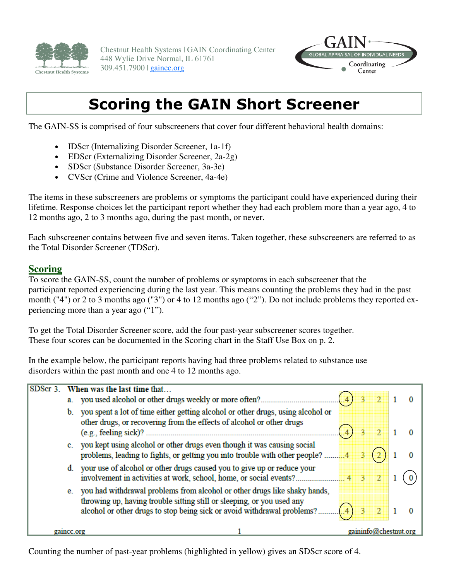

Chestnut Health Systems | GAIN Coordinating Center 448 Wylie Drive Normal, IL 61761 309.451.7900 | gaincc.org



## Scoring the GAIN Short Screener

The GAIN-SS is comprised of four subscreeners that cover four different behavioral health domains:

- **IDScr** (Internalizing Disorder Screener, 1a-1f)
- EDScr (Externalizing Disorder Screener, 2a-2g)
- SDScr (Substance Disorder Screener, 3a-3e)
- CVScr (Crime and Violence Screener, 4a-4e)

The items in these subscreeners are problems or symptoms the participant could have experienced during their lifetime. Response choices let the participant report whether they had each problem more than a year ago, 4 to 12 months ago, 2 to 3 months ago, during the past month, or never.

Each subscreener contains between five and seven items. Taken together, these subscreeners are referred to as the Total Disorder Screener (TDScr).

#### **Scoring**

To score the GAIN-SS, count the number of problems or symptoms in each subscreener that the participant reported experiencing during the last year. This means counting the problems they had in the past month ("4") or 2 to 3 months ago ("3") or 4 to 12 months ago ("2"). Do not include problems they reported experiencing more than a year ago ("1").

To get the Total Disorder Screener score, add the four past-year subscreener scores together. These four scores can be documented in the Scoring chart in the Staff Use Box on p. 2.

In the example below, the participant reports having had three problems related to substance use disorders within the past month and one 4 to 12 months ago.

| SDScr 3    | When was the last time that |                                                                                                                                                           |  |  |  |  |  |
|------------|-----------------------------|-----------------------------------------------------------------------------------------------------------------------------------------------------------|--|--|--|--|--|
|            |                             | a. you used alcohol or other drugs weekly or more often?                                                                                                  |  |  |  |  |  |
|            |                             | you spent a lot of time either getting alcohol or other drugs, using alcohol or<br>other drugs, or recovering from the effects of alcohol or other drugs  |  |  |  |  |  |
|            |                             | c. you kept using alcohol or other drugs even though it was causing social<br>problems, leading to fights, or getting you into trouble with other people? |  |  |  |  |  |
|            |                             | your use of alcohol or other drugs caused you to give up or reduce your                                                                                   |  |  |  |  |  |
|            |                             | you had withdrawal problems from alcohol or other drugs like shaky hands,<br>throwing up, having trouble sitting still or sleeping, or you used any       |  |  |  |  |  |
| gaince.org |                             | $\gamma$ gaininfo@chestnut.org                                                                                                                            |  |  |  |  |  |

Counting the number of past-year problems (highlighted in yellow) gives an SDScr score of 4.